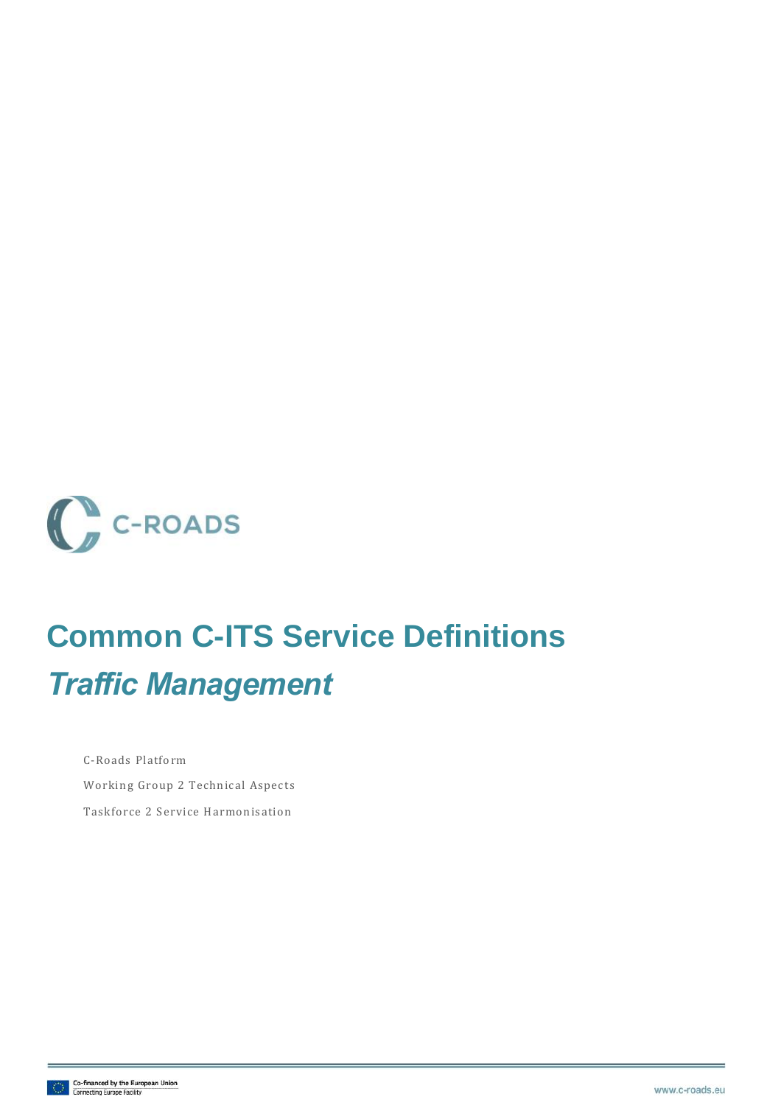

## **Common C-ITS Service Definitions** *Traffic Management*

C-Roads Platform Working Group 2 Technical Aspects Taskforce 2 Service Harmonisation

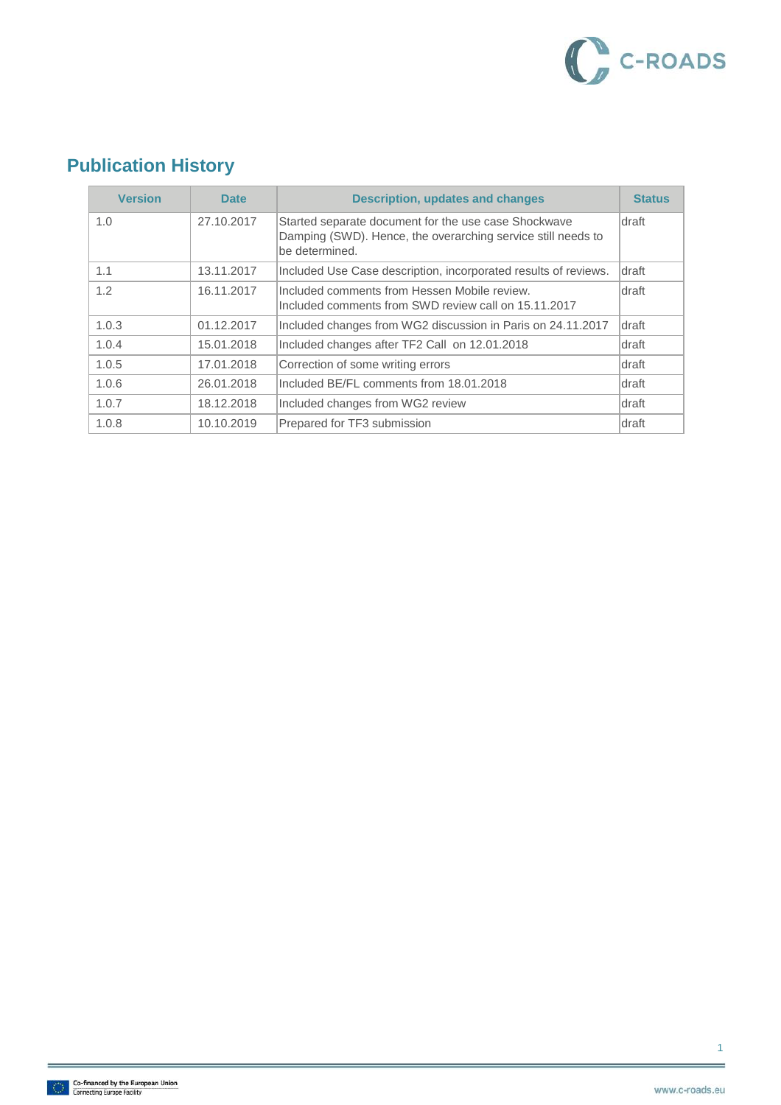

### **Publication History**

| <b>Version</b> | <b>Date</b> | <b>Description, updates and changes</b>                                                                                                | <b>Status</b> |
|----------------|-------------|----------------------------------------------------------------------------------------------------------------------------------------|---------------|
| 1.0            | 27.10.2017  | Started separate document for the use case Shockwave<br>Damping (SWD). Hence, the overarching service still needs to<br>be determined. | <b>draft</b>  |
| 1.1            | 13.11.2017  | Included Use Case description, incorporated results of reviews.                                                                        | draft         |
| 1.2            | 16.11.2017  | Included comments from Hessen Mobile review.<br>Included comments from SWD review call on 15.11.2017                                   | <b>draft</b>  |
| 1.0.3          | 01.12.2017  | Included changes from WG2 discussion in Paris on 24.11.2017                                                                            | draft         |
| 1.0.4          | 15.01.2018  | Included changes after TF2 Call on 12.01.2018                                                                                          | draft         |
| 1.0.5          | 17.01.2018  | Correction of some writing errors                                                                                                      | <b>draft</b>  |
| 1.0.6          | 26.01.2018  | Included BE/FL comments from 18.01.2018                                                                                                | draft         |
| 1.0.7          | 18.12.2018  | Included changes from WG2 review                                                                                                       | draft         |
| 1.0.8          | 10.10.2019  | Prepared for TF3 submission                                                                                                            | draft         |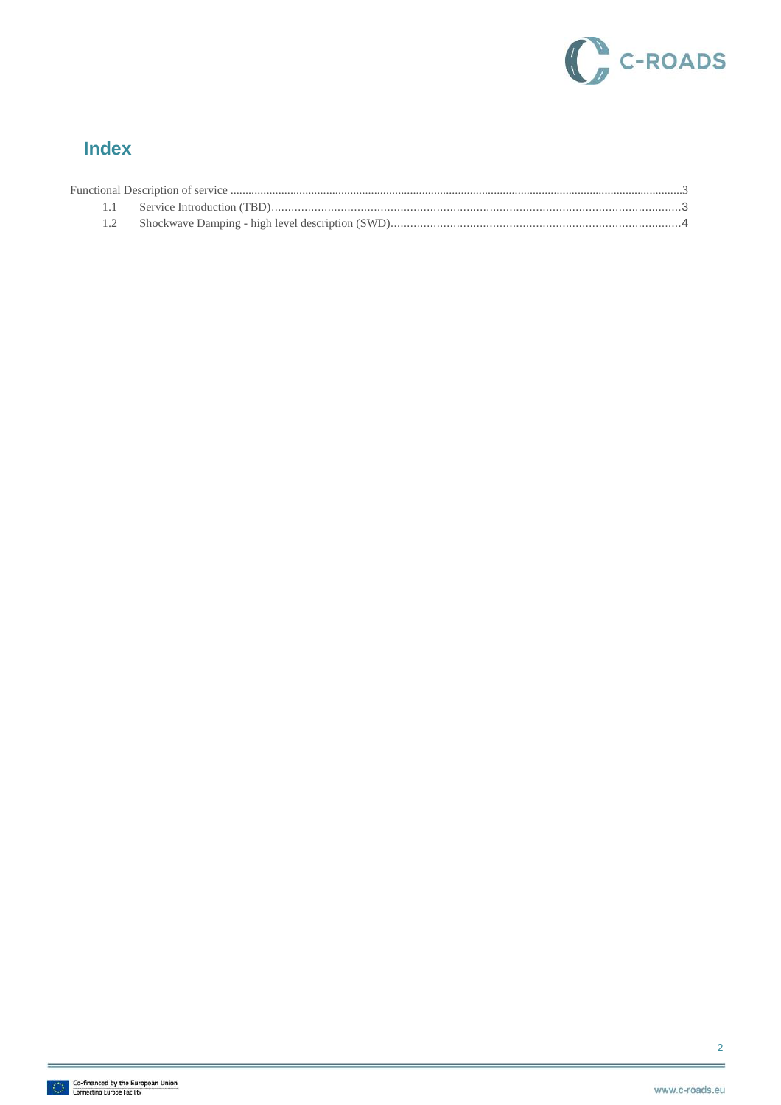

#### **Index**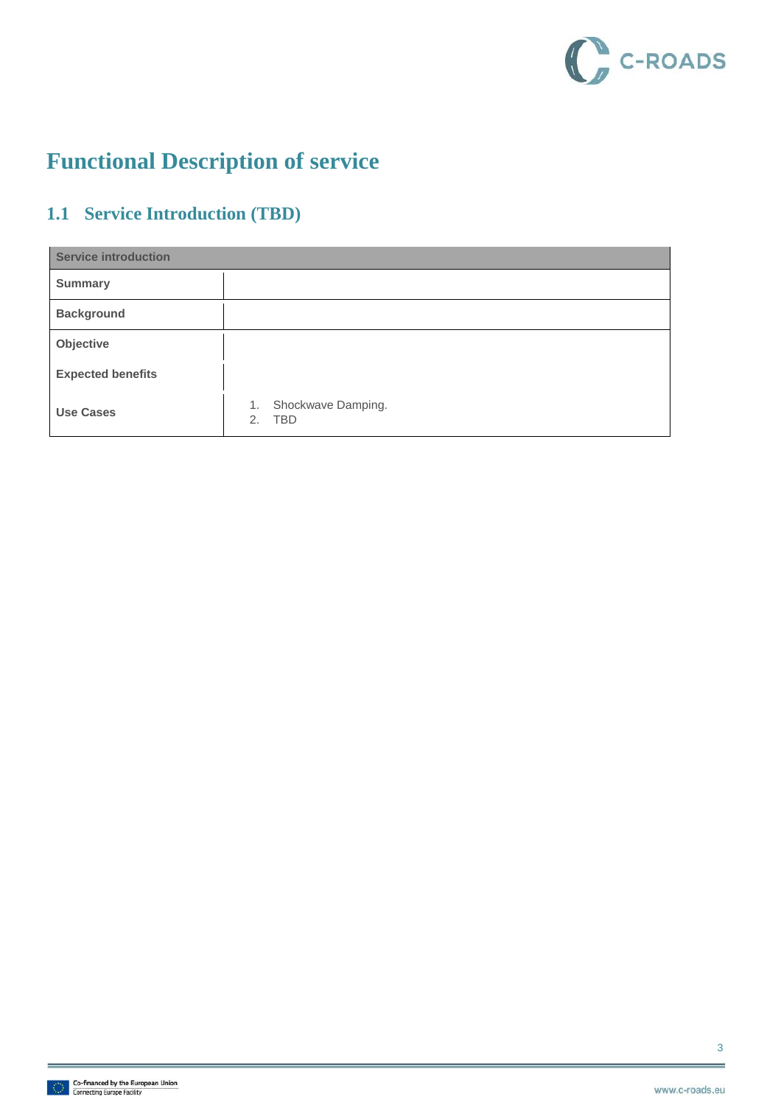

### <span id="page-3-0"></span>**Functional Description of service**

### <span id="page-3-1"></span>**1.1 Service Introduction (TBD)**

| <b>Service introduction</b> |                                              |  |
|-----------------------------|----------------------------------------------|--|
| <b>Summary</b>              |                                              |  |
| <b>Background</b>           |                                              |  |
| Objective                   |                                              |  |
| <b>Expected benefits</b>    |                                              |  |
| <b>Use Cases</b>            | Shockwave Damping.<br>1.<br><b>TBD</b><br>2. |  |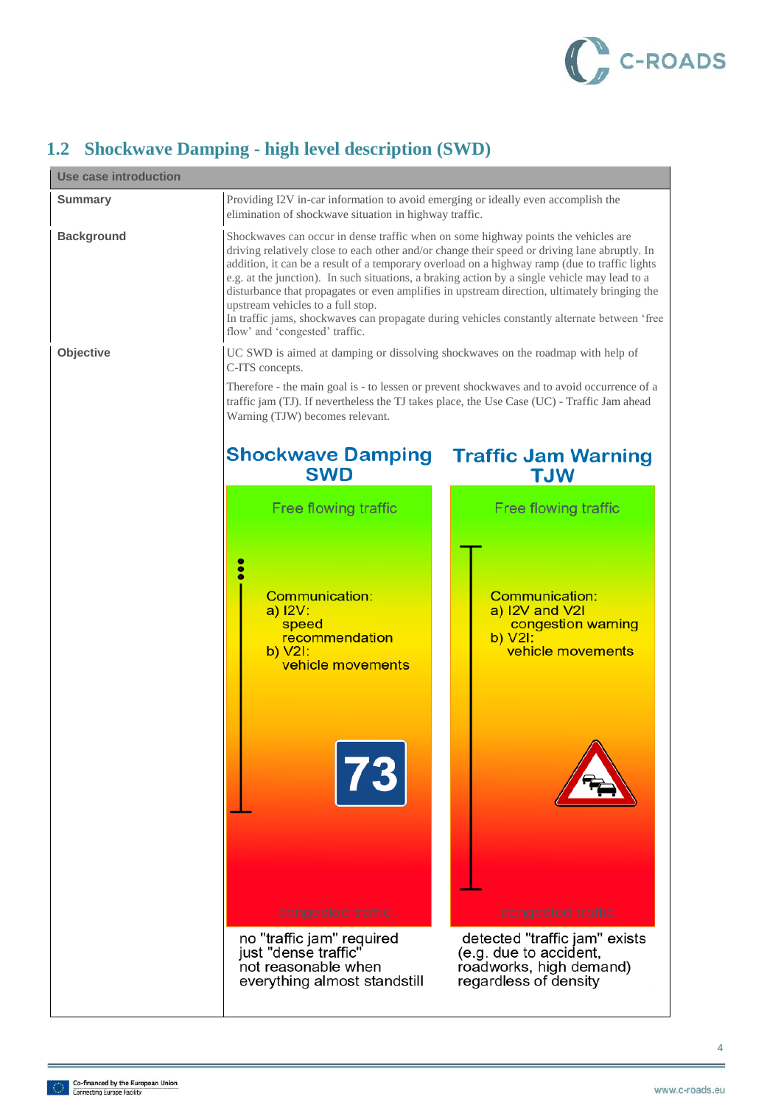

#### <span id="page-4-0"></span>**1.2 Shockwave Damping - high level description (SWD)**

| <b>Use case introduction</b> |                                                                                                                                                                                                                                                                                                                                                                                                                                                                                                                                                              |                                                                                                             |
|------------------------------|--------------------------------------------------------------------------------------------------------------------------------------------------------------------------------------------------------------------------------------------------------------------------------------------------------------------------------------------------------------------------------------------------------------------------------------------------------------------------------------------------------------------------------------------------------------|-------------------------------------------------------------------------------------------------------------|
| <b>Summary</b>               | Providing I2V in-car information to avoid emerging or ideally even accomplish the<br>elimination of shockwave situation in highway traffic.                                                                                                                                                                                                                                                                                                                                                                                                                  |                                                                                                             |
| <b>Background</b>            | Shockwaves can occur in dense traffic when on some highway points the vehicles are<br>driving relatively close to each other and/or change their speed or driving lane abruptly. In<br>addition, it can be a result of a temporary overload on a highway ramp (due to traffic lights<br>e.g. at the junction). In such situations, a braking action by a single vehicle may lead to a<br>disturbance that propagates or even amplifies in upstream direction, ultimately bringing the<br>upstream vehicles to a full stop.<br>flow' and 'congested' traffic. | In traffic jams, shockwaves can propagate during vehicles constantly alternate between 'free                |
| Objective                    | UC SWD is aimed at damping or dissolving shockwaves on the roadmap with help of<br>C-ITS concepts.<br>Therefore - the main goal is - to lessen or prevent shockwaves and to avoid occurrence of a                                                                                                                                                                                                                                                                                                                                                            |                                                                                                             |
|                              | traffic jam (TJ). If nevertheless the TJ takes place, the Use Case (UC) - Traffic Jam ahead<br>Warning (TJW) becomes relevant.                                                                                                                                                                                                                                                                                                                                                                                                                               |                                                                                                             |
|                              | <b>Shockwave Damping</b><br><b>SWD</b>                                                                                                                                                                                                                                                                                                                                                                                                                                                                                                                       | <b>Traffic Jam Warning</b><br><b>TJW</b>                                                                    |
|                              | Free flowing traffic                                                                                                                                                                                                                                                                                                                                                                                                                                                                                                                                         | Free flowing traffic                                                                                        |
|                              | $\bullet$<br>Communication:<br>a) I2V:<br>speed<br>recommendation<br>$b)$ $V2I$ :<br>vehicle movements                                                                                                                                                                                                                                                                                                                                                                                                                                                       | <b>Communication:</b><br>a) I2V and V2I<br>congestion warning<br>b) V2I:<br>vehicle movements               |
|                              | congested traffic                                                                                                                                                                                                                                                                                                                                                                                                                                                                                                                                            | congested traffic                                                                                           |
|                              | no "traffic jam" required<br>just "dense traffic"<br>not reasonable when<br>everything almost standstill                                                                                                                                                                                                                                                                                                                                                                                                                                                     | detected "traffic jam" exists<br>(e.g. due to accident,<br>roadworks, high demand)<br>regardless of density |

4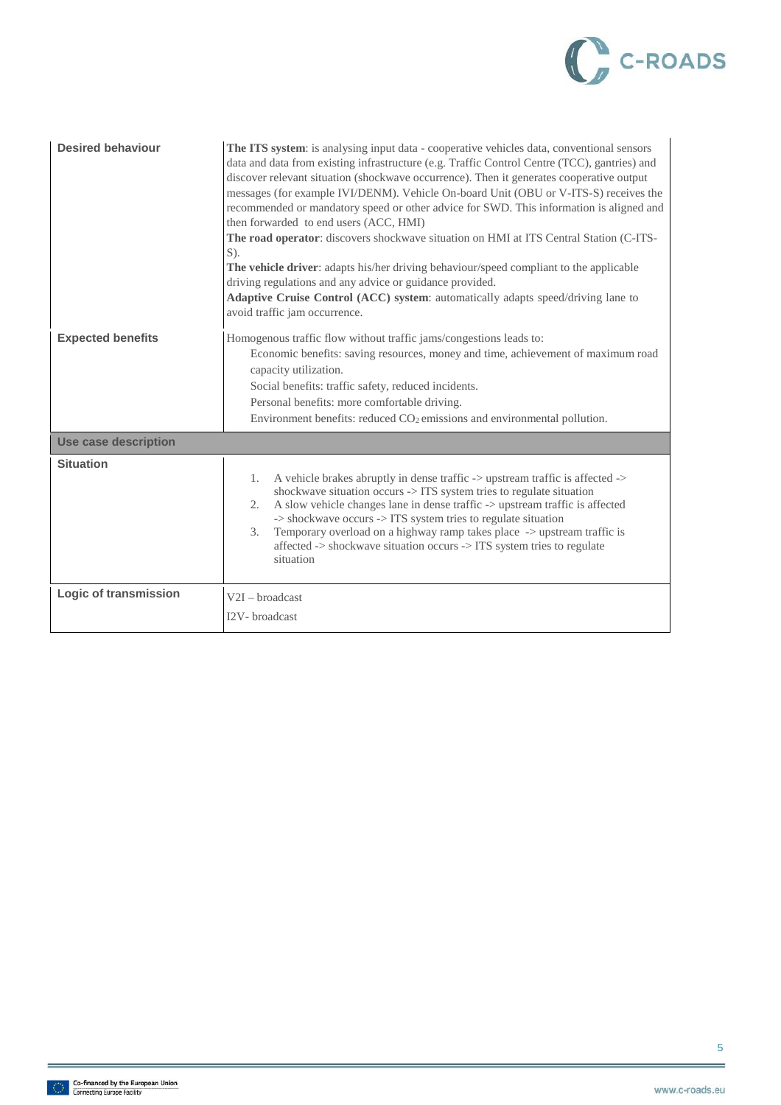

| <b>Desired behaviour</b>     | The ITS system: is analysing input data - cooperative vehicles data, conventional sensors<br>data and data from existing infrastructure (e.g. Traffic Control Centre (TCC), gantries) and<br>discover relevant situation (shockwave occurrence). Then it generates cooperative output<br>messages (for example IVI/DENM). Vehicle On-board Unit (OBU or V-ITS-S) receives the<br>recommended or mandatory speed or other advice for SWD. This information is aligned and<br>then forwarded to end users (ACC, HMI)<br>The road operator: discovers shockwave situation on HMI at ITS Central Station (C-ITS-<br>$S$ ).<br>The vehicle driver: adapts his/her driving behaviour/speed compliant to the applicable<br>driving regulations and any advice or guidance provided.<br>Adaptive Cruise Control (ACC) system: automatically adapts speed/driving lane to<br>avoid traffic jam occurrence. |
|------------------------------|---------------------------------------------------------------------------------------------------------------------------------------------------------------------------------------------------------------------------------------------------------------------------------------------------------------------------------------------------------------------------------------------------------------------------------------------------------------------------------------------------------------------------------------------------------------------------------------------------------------------------------------------------------------------------------------------------------------------------------------------------------------------------------------------------------------------------------------------------------------------------------------------------|
| <b>Expected benefits</b>     | Homogenous traffic flow without traffic jams/congestions leads to:<br>Economic benefits: saving resources, money and time, achievement of maximum road<br>capacity utilization.<br>Social benefits: traffic safety, reduced incidents.<br>Personal benefits: more comfortable driving.<br>Environment benefits: reduced $CO2$ emissions and environmental pollution.                                                                                                                                                                                                                                                                                                                                                                                                                                                                                                                              |
| <b>Use case description</b>  |                                                                                                                                                                                                                                                                                                                                                                                                                                                                                                                                                                                                                                                                                                                                                                                                                                                                                                   |
| <b>Situation</b>             | A vehicle brakes abruptly in dense traffic -> upstream traffic is affected -><br>$\mathbf{1}$ .<br>shockwave situation occurs -> ITS system tries to regulate situation<br>A slow vehicle changes lane in dense traffic -> upstream traffic is affected<br>2.<br>-> shockwave occurs -> ITS system tries to regulate situation<br>Temporary overload on a highway ramp takes place -> upstream traffic is<br>3.<br>affected -> shockwave situation occurs -> ITS system tries to regulate<br>situation                                                                                                                                                                                                                                                                                                                                                                                            |
| <b>Logic of transmission</b> | $V2I - broadcast$<br>I2V- broadcast                                                                                                                                                                                                                                                                                                                                                                                                                                                                                                                                                                                                                                                                                                                                                                                                                                                               |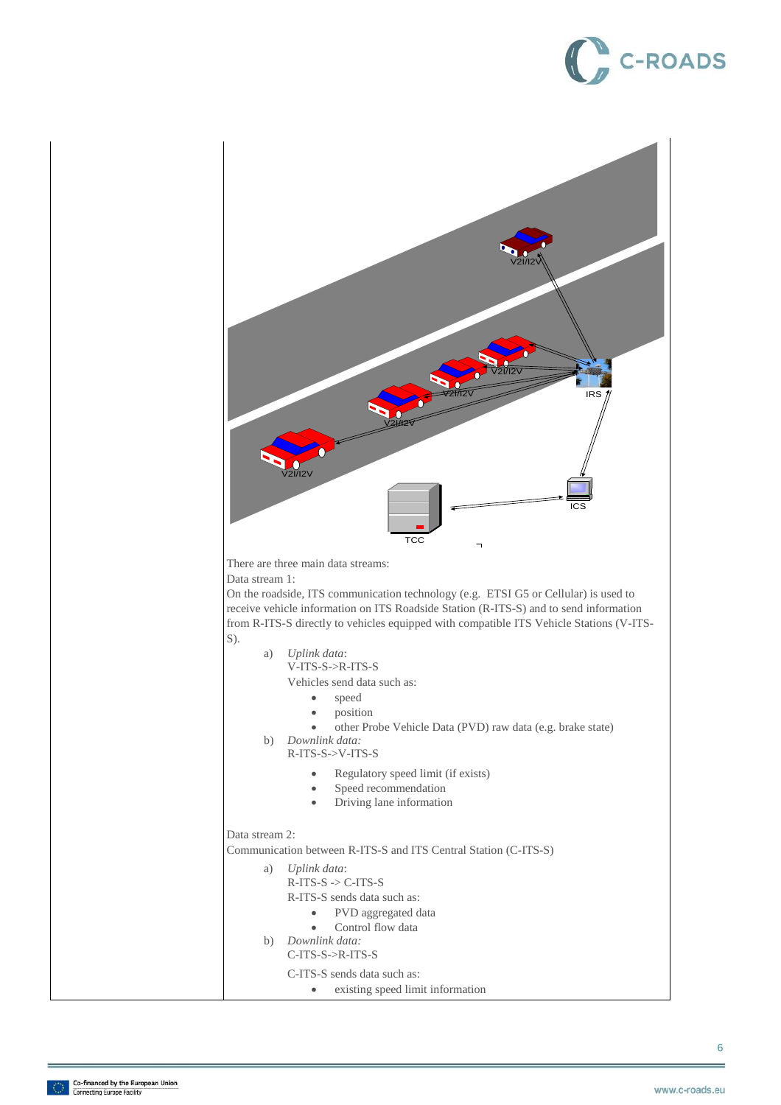# **C-ROADS**

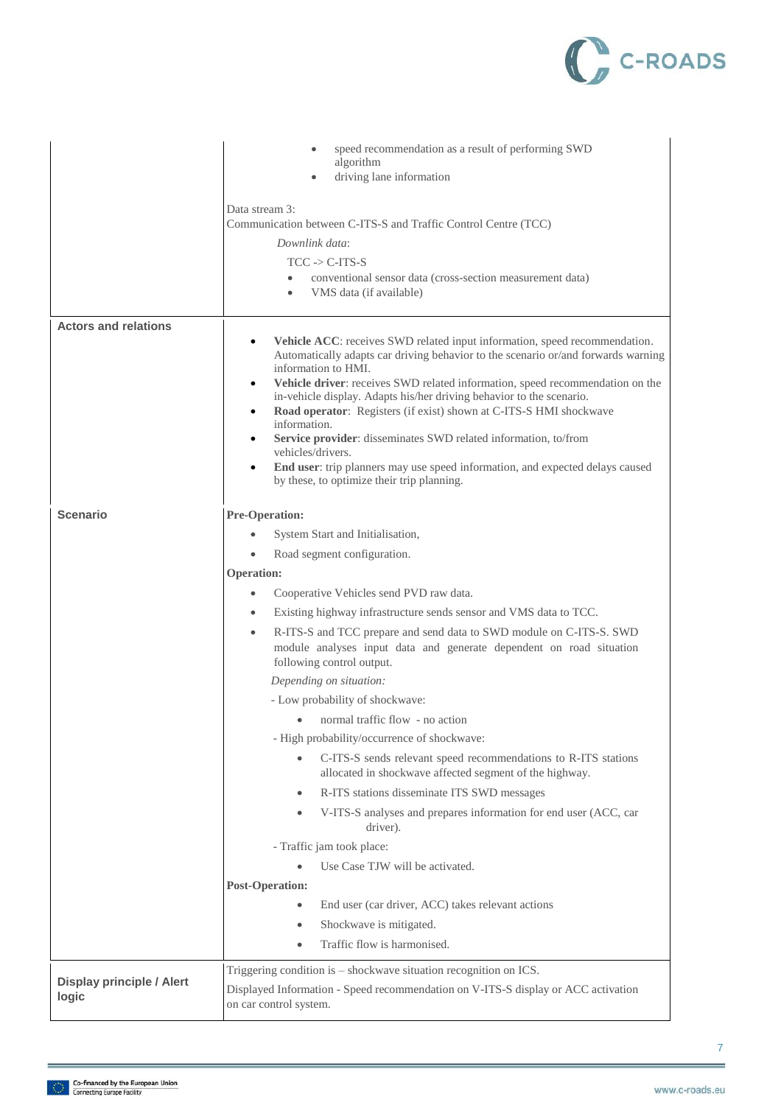

|                                           | speed recommendation as a result of performing SWD<br>algorithm<br>driving lane information                                                                                                                                                                                                                                                                                                                                                                     |
|-------------------------------------------|-----------------------------------------------------------------------------------------------------------------------------------------------------------------------------------------------------------------------------------------------------------------------------------------------------------------------------------------------------------------------------------------------------------------------------------------------------------------|
|                                           | Data stream 3:<br>Communication between C-ITS-S and Traffic Control Centre (TCC)                                                                                                                                                                                                                                                                                                                                                                                |
|                                           | Downlink data:                                                                                                                                                                                                                                                                                                                                                                                                                                                  |
|                                           | $TCC \rightarrow C-ITS-S$<br>conventional sensor data (cross-section measurement data)                                                                                                                                                                                                                                                                                                                                                                          |
|                                           | VMS data (if available)                                                                                                                                                                                                                                                                                                                                                                                                                                         |
| <b>Actors and relations</b>               |                                                                                                                                                                                                                                                                                                                                                                                                                                                                 |
|                                           | Vehicle ACC: receives SWD related input information, speed recommendation.<br>Automatically adapts car driving behavior to the scenario or/and forwards warning<br>information to HMI.<br>Vehicle driver: receives SWD related information, speed recommendation on the<br>$\bullet$<br>in-vehicle display. Adapts his/her driving behavior to the scenario.<br>Road operator: Registers (if exist) shown at C-ITS-S HMI shockwave<br>$\bullet$<br>information. |
|                                           | Service provider: disseminates SWD related information, to/from<br>٠                                                                                                                                                                                                                                                                                                                                                                                            |
|                                           | vehicles/drivers.<br>End user: trip planners may use speed information, and expected delays caused<br>٠<br>by these, to optimize their trip planning.                                                                                                                                                                                                                                                                                                           |
| <b>Scenario</b>                           | <b>Pre-Operation:</b>                                                                                                                                                                                                                                                                                                                                                                                                                                           |
|                                           | System Start and Initialisation,                                                                                                                                                                                                                                                                                                                                                                                                                                |
|                                           | Road segment configuration.                                                                                                                                                                                                                                                                                                                                                                                                                                     |
|                                           | <b>Operation:</b>                                                                                                                                                                                                                                                                                                                                                                                                                                               |
|                                           | Cooperative Vehicles send PVD raw data.<br>$\bullet$                                                                                                                                                                                                                                                                                                                                                                                                            |
|                                           | Existing highway infrastructure sends sensor and VMS data to TCC.<br>$\bullet$                                                                                                                                                                                                                                                                                                                                                                                  |
|                                           | R-ITS-S and TCC prepare and send data to SWD module on C-ITS-S. SWD<br>$\bullet$<br>module analyses input data and generate dependent on road situation<br>following control output.                                                                                                                                                                                                                                                                            |
|                                           | Depending on situation:                                                                                                                                                                                                                                                                                                                                                                                                                                         |
|                                           | - Low probability of shockwave:                                                                                                                                                                                                                                                                                                                                                                                                                                 |
|                                           | normal traffic flow - no action<br>$\bullet$                                                                                                                                                                                                                                                                                                                                                                                                                    |
|                                           | - High probability/occurrence of shockwave:                                                                                                                                                                                                                                                                                                                                                                                                                     |
|                                           | C-ITS-S sends relevant speed recommendations to R-ITS stations<br>allocated in shockwave affected segment of the highway.                                                                                                                                                                                                                                                                                                                                       |
|                                           | R-ITS stations disseminate ITS SWD messages<br>$\qquad \qquad \bullet$                                                                                                                                                                                                                                                                                                                                                                                          |
|                                           | V-ITS-S analyses and prepares information for end user (ACC, car<br>driver).                                                                                                                                                                                                                                                                                                                                                                                    |
|                                           | - Traffic jam took place:                                                                                                                                                                                                                                                                                                                                                                                                                                       |
|                                           | Use Case TJW will be activated.                                                                                                                                                                                                                                                                                                                                                                                                                                 |
|                                           | <b>Post-Operation:</b>                                                                                                                                                                                                                                                                                                                                                                                                                                          |
|                                           | End user (car driver, ACC) takes relevant actions<br>$\bullet$                                                                                                                                                                                                                                                                                                                                                                                                  |
|                                           | Shockwave is mitigated.                                                                                                                                                                                                                                                                                                                                                                                                                                         |
|                                           | Traffic flow is harmonised.                                                                                                                                                                                                                                                                                                                                                                                                                                     |
| <b>Display principle / Alert</b><br>logic | Triggering condition is – shockwave situation recognition on ICS.<br>Displayed Information - Speed recommendation on V-ITS-S display or ACC activation<br>on car control system.                                                                                                                                                                                                                                                                                |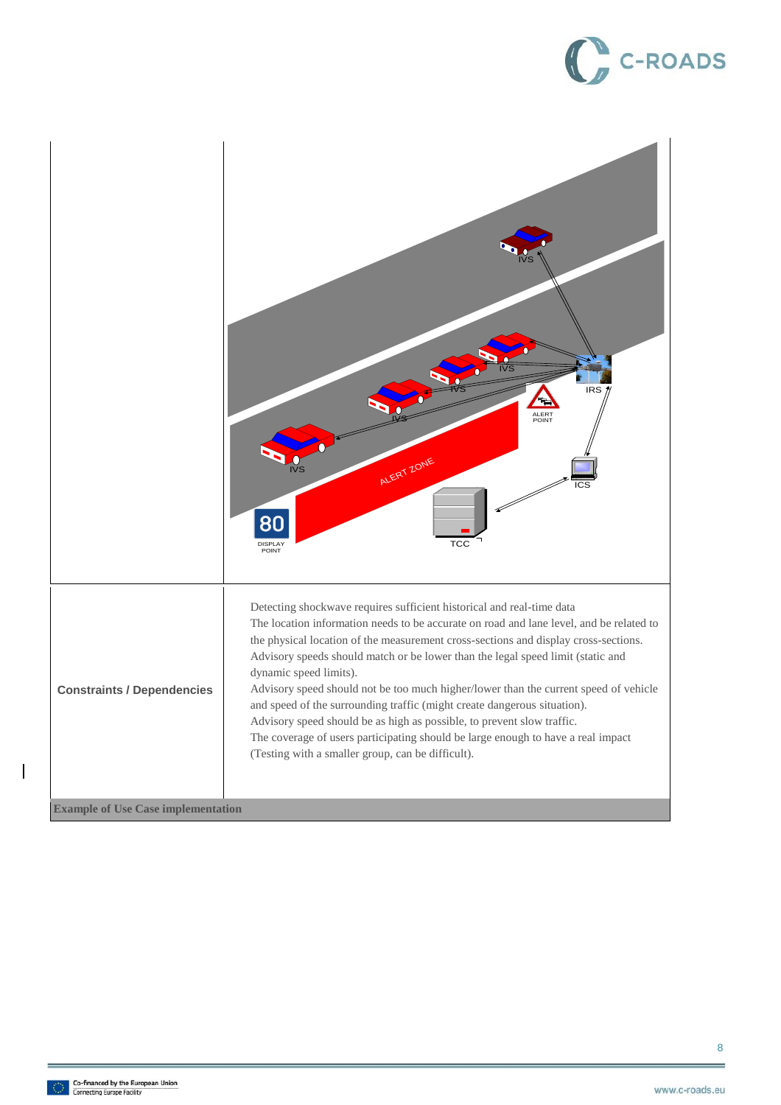# C-ROADS



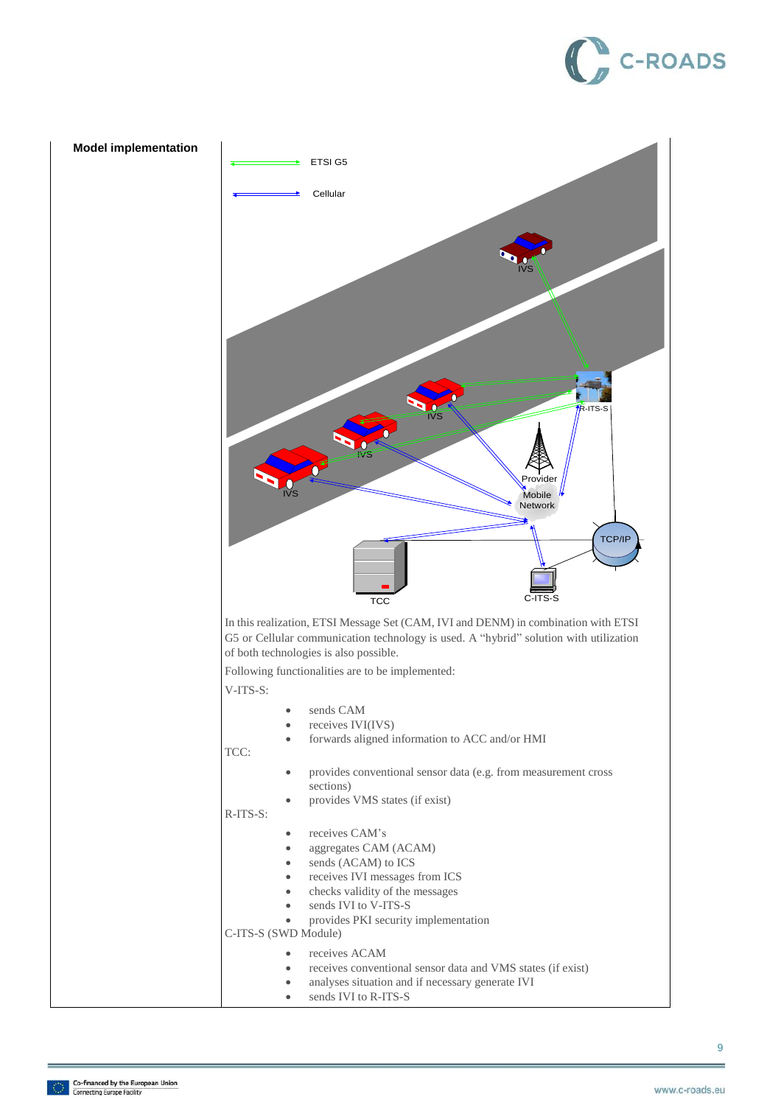# **C-ROADS**

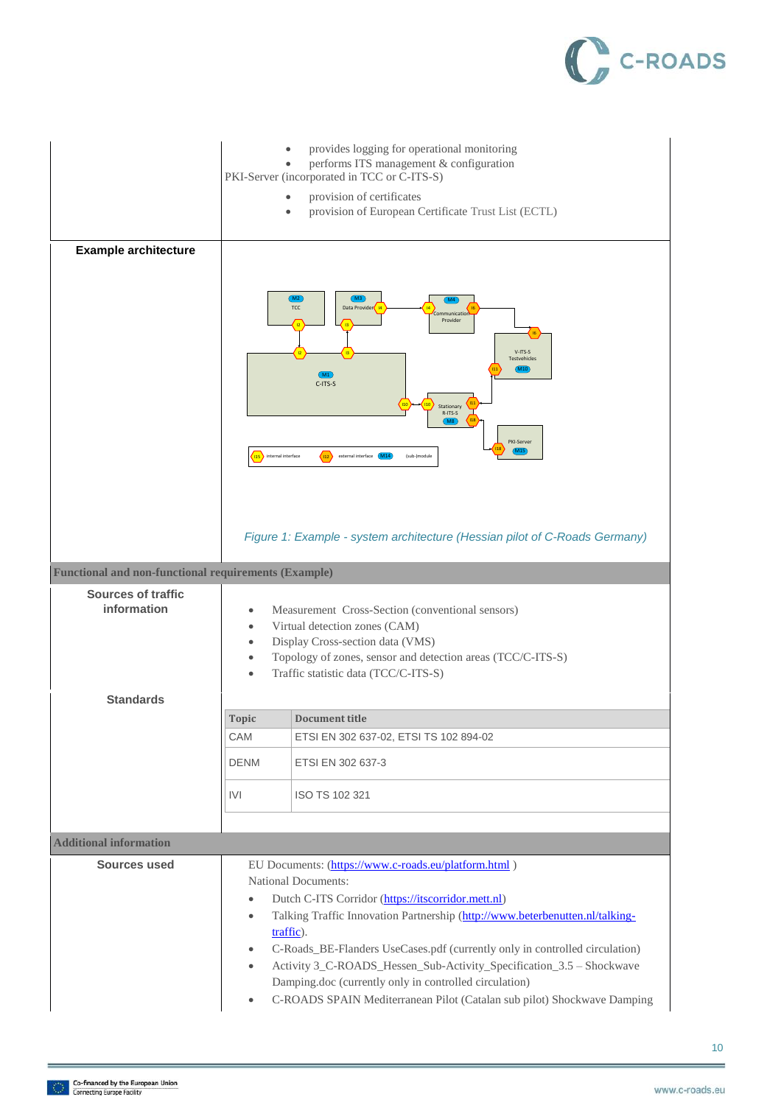

| <b>Example architecture</b><br><b>Functional and non-functional requirements (Example)</b><br><b>Sources of traffic</b><br>information | provides logging for operational monitoring<br>performs ITS management & configuration<br>PKI-Server (incorporated in TCC or C-ITS-S)<br>provision of certificates<br>provision of European Certificate Trust List (ECTL)<br>M3<br>(M2)<br>M4<br>TCC<br>Data Provider<br>Communication<br>Provider<br>V-ITS-S<br><b>Testvehicles</b><br>(M10)<br>(M1)<br>C-ITS-S<br>Stationary<br>R-ITS-S<br><b>M8</b><br>PKI-Server<br>$\langle n_2 \rangle$<br>115 internal interface<br>external interface (M14)<br>(sub-)module<br>Figure 1: Example - system architecture (Hessian pilot of C-Roads Germany)<br>Measurement Cross-Section (conventional sensors)<br>Virtual detection zones (CAM)<br>Display Cross-section data (VMS)<br>Topology of zones, sensor and detection areas (TCC/C-ITS-S)<br>Traffic statistic data (TCC/C-ITS-S) |                                                                                                                                                                                                                                                                                                                                                                                                                                                                                                                                   |
|----------------------------------------------------------------------------------------------------------------------------------------|-----------------------------------------------------------------------------------------------------------------------------------------------------------------------------------------------------------------------------------------------------------------------------------------------------------------------------------------------------------------------------------------------------------------------------------------------------------------------------------------------------------------------------------------------------------------------------------------------------------------------------------------------------------------------------------------------------------------------------------------------------------------------------------------------------------------------------------|-----------------------------------------------------------------------------------------------------------------------------------------------------------------------------------------------------------------------------------------------------------------------------------------------------------------------------------------------------------------------------------------------------------------------------------------------------------------------------------------------------------------------------------|
| <b>Standards</b>                                                                                                                       |                                                                                                                                                                                                                                                                                                                                                                                                                                                                                                                                                                                                                                                                                                                                                                                                                                   |                                                                                                                                                                                                                                                                                                                                                                                                                                                                                                                                   |
|                                                                                                                                        | <b>Topic</b>                                                                                                                                                                                                                                                                                                                                                                                                                                                                                                                                                                                                                                                                                                                                                                                                                      | <b>Document title</b>                                                                                                                                                                                                                                                                                                                                                                                                                                                                                                             |
|                                                                                                                                        | CAM                                                                                                                                                                                                                                                                                                                                                                                                                                                                                                                                                                                                                                                                                                                                                                                                                               | ETSI EN 302 637-02, ETSI TS 102 894-02                                                                                                                                                                                                                                                                                                                                                                                                                                                                                            |
|                                                                                                                                        | <b>DENM</b>                                                                                                                                                                                                                                                                                                                                                                                                                                                                                                                                                                                                                                                                                                                                                                                                                       | ETSI EN 302 637-3                                                                                                                                                                                                                                                                                                                                                                                                                                                                                                                 |
|                                                                                                                                        | IVI                                                                                                                                                                                                                                                                                                                                                                                                                                                                                                                                                                                                                                                                                                                                                                                                                               | ISO TS 102 321                                                                                                                                                                                                                                                                                                                                                                                                                                                                                                                    |
|                                                                                                                                        |                                                                                                                                                                                                                                                                                                                                                                                                                                                                                                                                                                                                                                                                                                                                                                                                                                   |                                                                                                                                                                                                                                                                                                                                                                                                                                                                                                                                   |
| <b>Additional information</b>                                                                                                          |                                                                                                                                                                                                                                                                                                                                                                                                                                                                                                                                                                                                                                                                                                                                                                                                                                   |                                                                                                                                                                                                                                                                                                                                                                                                                                                                                                                                   |
| <b>Sources used</b>                                                                                                                    | $\bullet$<br>$\bullet$<br>$\bullet$<br>$\bullet$                                                                                                                                                                                                                                                                                                                                                                                                                                                                                                                                                                                                                                                                                                                                                                                  | EU Documents: (https://www.c-roads.eu/platform.html)<br><b>National Documents:</b><br>Dutch C-ITS Corridor (https://itscorridor.mett.nl)<br>Talking Traffic Innovation Partnership (http://www.beterbenutten.nl/talking-<br>traffic).<br>C-Roads_BE-Flanders UseCases.pdf (currently only in controlled circulation)<br>Activity 3_C-ROADS_Hessen_Sub-Activity_Specification_3.5 - Shockwave<br>Damping.doc (currently only in controlled circulation)<br>C-ROADS SPAIN Mediterranean Pilot (Catalan sub pilot) Shockwave Damping |